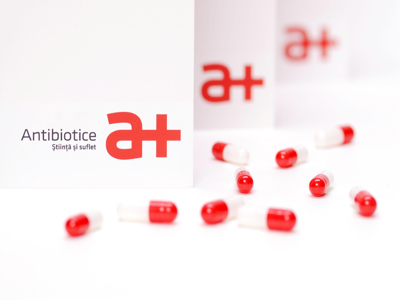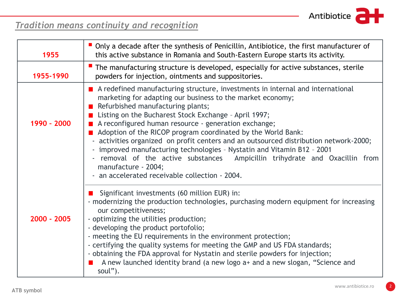

# *Tradition means continuity and recognition*

| 1955        | $\blacksquare$ Only a decade after the synthesis of Penicillin, Antibiotice, the first manufacturer of<br>this active substance in Romania and South-Eastern Europe starts its activity.                                                                                                                                                                                                                                                                                                                                                                                                                                                                                                       |
|-------------|------------------------------------------------------------------------------------------------------------------------------------------------------------------------------------------------------------------------------------------------------------------------------------------------------------------------------------------------------------------------------------------------------------------------------------------------------------------------------------------------------------------------------------------------------------------------------------------------------------------------------------------------------------------------------------------------|
| 1955-1990   | The manufacturing structure is developed, especially for active substances, sterile<br>powders for injection, ointments and suppositories.                                                                                                                                                                                                                                                                                                                                                                                                                                                                                                                                                     |
| 1990 - 2000 | A redefined manufacturing structure, investments in internal and international<br>marketing for adapting our business to the market economy;<br>Refurbished manufacturing plants;<br>Listing on the Bucharest Stock Exchange - April 1997;<br>A reconfigured human resource - generation exchange;<br>Adoption of the RICOP program coordinated by the World Bank:<br>- activities organized on profit centers and an outsourced distribution network-2000;<br>- improved manufacturing technologies - Nystatin and Vitamin B12 - 2001<br>- removal of the active substances Ampicillin trihydrate and Oxacillin from<br>manufacture - 2004;<br>- an accelerated receivable collection - 2004. |
| 2000 - 2005 | Significant investments (60 million EUR) in:<br>- modernizing the production technologies, purchasing modern equipment for increasing<br>our competitiveness;<br>- optimizing the utilities production;<br>- developing the product portofolio;<br>- meeting the EU requirements in the environment protection;<br>- certifying the quality systems for meeting the GMP and US FDA standards;<br>- obtaining the FDA approval for Nystatin and sterile powders for injection;<br>A new launched identity brand (a new logo a+ and a new slogan, "Science and<br>soul").                                                                                                                        |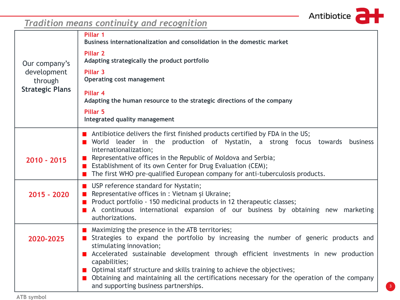

# *Tradition means continuity and recognition*

|                        | Pillar 1<br>Business internationalization and consolidation in the domestic market                                                                                                                                                                                                                                                                                                                                                                                                          |
|------------------------|---------------------------------------------------------------------------------------------------------------------------------------------------------------------------------------------------------------------------------------------------------------------------------------------------------------------------------------------------------------------------------------------------------------------------------------------------------------------------------------------|
| Our company's          | <b>Pillar 2</b><br>Adapting strategically the product portfolio                                                                                                                                                                                                                                                                                                                                                                                                                             |
| development<br>through | Pillar <sub>3</sub><br><b>Operating cost management</b>                                                                                                                                                                                                                                                                                                                                                                                                                                     |
| <b>Strategic Plans</b> | Pillar 4<br>Adapting the human resource to the strategic directions of the company                                                                                                                                                                                                                                                                                                                                                                                                          |
|                        | Pillar 5<br>Integrated quality management                                                                                                                                                                                                                                                                                                                                                                                                                                                   |
| $2010 - 2015$          | Antibiotice delivers the first finished products certified by FDA in the US;<br>World leader in the production of Nystatin, a strong focus towards business<br>internationalization;<br>Representative offices in the Republic of Moldova and Serbia;<br>$\blacksquare$<br>Establishment of its own Center for Drug Evaluation (CEM);                                                                                                                                                       |
|                        | The first WHO pre-qualified European company for anti-tuberculosis products.                                                                                                                                                                                                                                                                                                                                                                                                                |
| 2015 - 2020            | <b>USP</b> reference standard for Nystatin;<br>Representative offices in : Vietnam și Ukraine;<br>Product portfolio - 150 medicinal products in 12 therapeutic classes;<br>A continuous international expansion of our business by obtaining new marketing<br>authorizations.                                                                                                                                                                                                               |
| 2020-2025              | Maximizing the presence in the ATB territories;<br>Strategies to expand the portfolio by increasing the number of generic products and<br>stimulating innovation;<br>Accelerated sustainable development through efficient investments in new production<br>capabilities;<br>Optimal staff structure and skills training to achieve the objectives;<br>Obtaining and maintaining all the certifications necessary for the operation of the company<br>and supporting business partnerships. |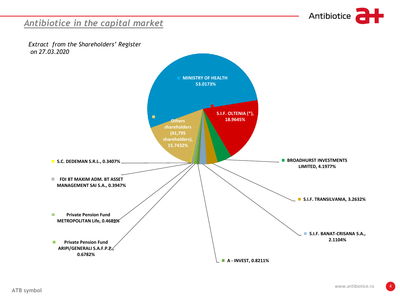

#### *Antibiotice in the capital market*

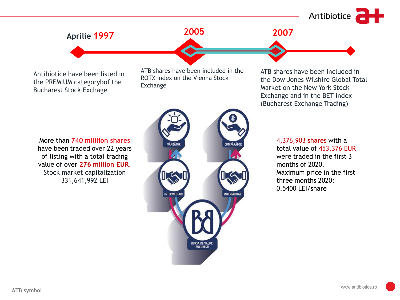Antibiotice

# **Aprilie 1997**

Antibiotice have been listed in the PREMIUM categorybof the Bucharest Stock Exchage

ATB shares have been included in the ROTX index on the Vienna Stock Exchange

**2005 2007**

More than **740 milllion shares** have been traded over 22 years of listing with a total trading value of over **276 million EUR**. Stock market capitalization 331,641,992 LEI



ATB shares have been included in the Dow Jones Wilshire Global Total Market on the New York Stock Exchange and in the BET index (Bucharest Exchange Trading)

> 4,376,903 shares with a total value of 453,376 EUR were traded in the first 3 months of 2020. Maximum price in the first three months 2020: 0.5400 LEI/share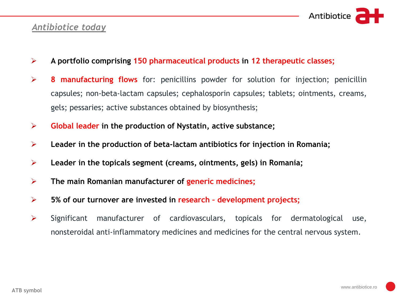

#### *Antibiotice today*

- ➢ **A portfolio comprising 150 pharmaceutical products in 12 therapeutic classes;**
- ➢ **8 manufacturing flows** for: penicillins powder for solution for injection; penicillin capsules; non-beta-lactam capsules; cephalosporin capsules; tablets; ointments, creams, gels; pessaries; active substances obtained by biosynthesis;
- ➢ **Global leader in the production of Nystatin, active substance;**
- ➢ **Leader in the production of beta-lactam antibiotics for injection in Romania;**
- ➢ **Leader in the topicals segment (creams, ointments, gels) in Romania;**
- ➢ **The main Romanian manufacturer of generic medicines;**
- ➢ **5% of our turnover are invested in research – development projects;**
- ➢ Significant manufacturer of cardiovasculars, topicals for dermatological use, nonsteroidal anti-inflammatory medicines and medicines for the central nervous system.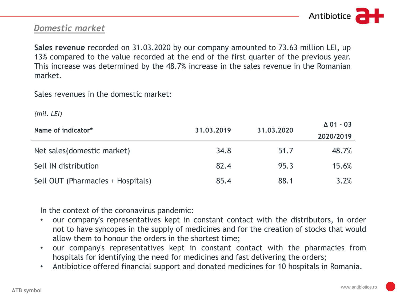

#### *Domestic market*

**Sales revenue** recorded on 31.03.2020 by our company amounted to 73.63 million LEI, up 13% compared to the value recorded at the end of the first quarter of the previous year. This increase was determined by the 48.7% increase in the sales revenue in the Romanian market.

Sales revenues in the domestic market:

*(mil. LEI)*

| Name of indicator*                | 31.03.2019 | 31,03,2020 | $\Delta$ 01 - 03 |
|-----------------------------------|------------|------------|------------------|
|                                   |            |            | 2020/2019        |
| Net sales (domestic market)       | 34.8       | 51.7       | 48.7%            |
| Sell IN distribution              | 82.4       | 95.3       | 15.6%            |
| Sell OUT (Pharmacies + Hospitals) | 85.4       | 88.1       | 3.2%             |

In the context of the coronavirus pandemic:

- our company's representatives kept in constant contact with the distributors, in order not to have syncopes in the supply of medicines and for the creation of stocks that would allow them to honour the orders in the shortest time;
- our company's representatives kept in constant contact with the pharmacies from hospitals for identifying the need for medicines and fast delivering the orders;
- Antibiotice offered financial support and donated medicines for 10 hospitals in Romania.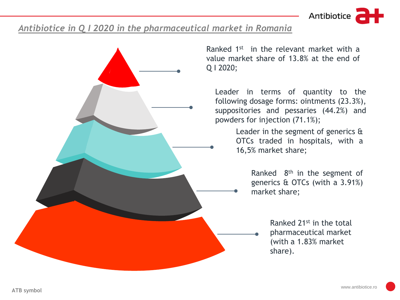Antibiotice

#### *Antibiotice in Q I 2020 in the pharmaceutical market in Romania*



Ranked 1<sup>st</sup> in the relevant market with a value market share of 13.8% at the end of

Leader in terms of quantity to the following dosage forms: ointments (23.3%), suppositories and pessaries (44.2%) and powders for injection (71.1%);

> Leader in the segment of generics & OTCs traded in hospitals, with a 16,5% market share;

> > Ranked 8<sup>th</sup> in the segment of generics & OTCs (with a 3.91%) market share;

> > > Ranked 21st in the total pharmaceutical market (with a 1.83% market share).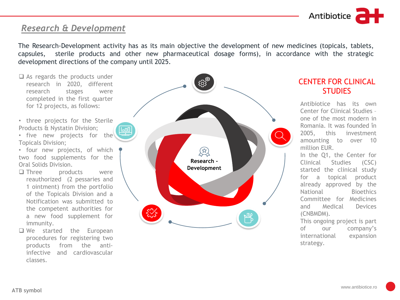

#### *Research & Development*

The Research-Development activity has as its main objective the development of new medicines (topicals, tablets, capsules, sterile products and other new pharmaceutical dosage forms), in accordance with the strategic development directions of the company until 2025.

- ❑ As regards the products under research in 2020, different research stages were completed in the first quarter for 12 projects, as follows:
- three projects for the Sterile Products & Nystatin Division;
- five new projects for the Topicals Division;
- four new projects, of which two food supplements for the Oral Solids Division.
- □ Three products were reauthorized (2 pessaries and 1 ointment) from the portfolio of the Topicals Division and a Notification was submitted to the competent authorities for a new food supplement for immunity.
- ❑ We started the European procedures for registering two products from the antiinfective and cardiovascular classes.



#### CENTER FOR CLINICAL **STUDIES**

Antibiotice has its own Center for Clinical Studies – one of the most modern in Romania. It was founded în 2005, this investment amounting to over 10 million EUR. In the Q1, the Center for Clinical Studies (CSC) started the clinical study for a topical product already approved by the National Bioethics Committee for Medicines and Medical Devices (CNBMDM).

This ongoing project is part of our company's international expansion strategy.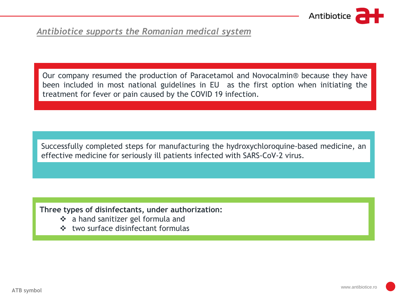

#### Write it here *Antibiotice supports the Romanian medical system*

Our company resumed the production of Paracetamol and Novocalmin® because they have been included in most national guidelines in EU as the first option when initiating the treatment for fever or pain caused by the COVID 19 infection.

Successfully completed steps for manufacturing the hydroxychloroquine-based medicine, an effective medicine for seriously ill patients infected with SARS-CoV-2 virus.

#### **Three types of disinfectants, under authorization:**

- ❖ a hand sanitizer gel formula and
- ❖ two surface disinfectant formulas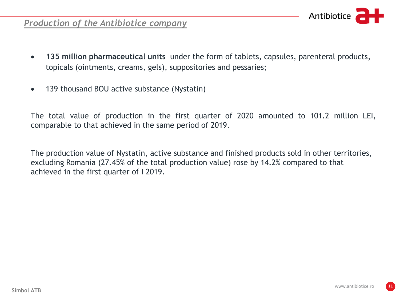

#### *Production of the Antibiotice company*

- **135 million pharmaceutical units** under the form of tablets, capsules, parenteral products, topicals (ointments, creams, gels), suppositories and pessaries;
- 139 thousand BOU active substance (Nystatin)

The total value of production in the first quarter of 2020 amounted to 101.2 million LEI, comparable to that achieved in the same period of 2019.

The production value of Nystatin, active substance and finished products sold in other territories, excluding Romania (27.45% of the total production value) rose by 14.2% compared to that achieved in the first quarter of I 2019.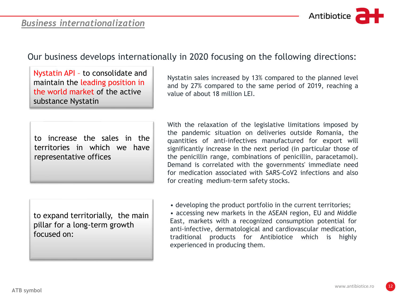#### *Business internationalization*



### Our business develops internationally in 2020 focusing on the following directions:

Nystatin API – to consolidate and maintain the leading position in the world market of the active substance Nystatin

to increase the sales in the territories in which we have representative offices

Nystatin sales increased by 13% compared to the planned level and by 27% compared to the same period of 2019, reaching a value of about 18 million LEI.

With the relaxation of the legislative limitations imposed by the pandemic situation on deliveries outside Romania, the quantities of anti-infectives manufactured for export will significantly increase in the next period (in particular those of the penicillin range, combinations of penicillin, paracetamol). Demand is correlated with the governments' immediate need for medication associated with SARS-CoV2 infections and also for creating medium-term safety stocks.

to expand territorially, the main pillar for a long-term growth focused on:

• developing the product portfolio in the current territories; • accessing new markets in the ASEAN region, EU and Middle East, markets with a recognized consumption potential for anti-infective, dermatological and cardiovascular medication, traditional products for Antibiotice which is highly experienced in producing them.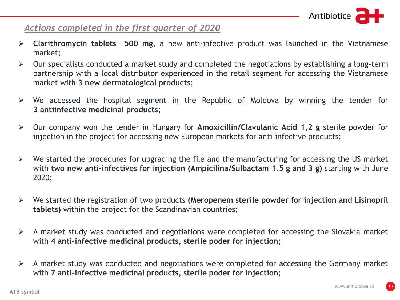

#### *Actions completed in the first quarter of 2020*

- $\mathbb{R}$  is the inter-➢ **Clarithromycin tablets 500 mg**, a new anti-infective product was launched in the Vietnamese market;
	- $\triangleright$  Our specialists conducted a market study and completed the negotiations by establishing a long-term partnership with a local distributor experienced in the retail segment for accessing the Vietnamese market with **3 new dermatological products**;
	- $\triangleright$  We accessed the hospital segment in the Republic of Moldova by winning the tender for **3 antiinfective medicinal products**;
	- ➢ Our company won the tender in Hungary for **Amoxicillin/Clavulanic Acid 1,2 g** sterile powder for injection in the project for accessing new European markets for anti-infective products;
	- $\triangleright$  We started the procedures for upgrading the file and the manufacturing for accessing the US market with **two new anti-infectives for injection (Ampicilina/Sulbactam 1.5 g and 3 g)** starting with June 2020;
	- ➢ We started the registration of two products **(Meropenem sterile powder for injection and Lisinopril tablets)** within the project for the Scandinavian countries;
	- $\triangleright$  A market study was conducted and negotiations were completed for accessing the Slovakia market with **4 anti-infective medicinal products, sterile poder for injection**;
	- $\triangleright$  A market study was conducted and negotiations were completed for accessing the Germany market with **7 anti-infective medicinal products, sterile poder for injection**;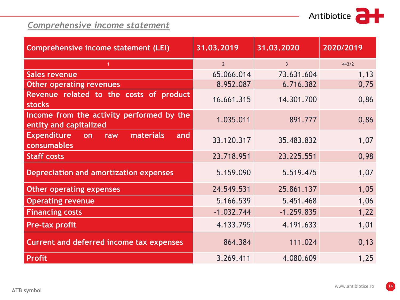

# *Comprehensive income statement*

| Comprehensive income statement (LEI)                                | 31.03.2019     | 31.03.2020     | 2020/2019 |
|---------------------------------------------------------------------|----------------|----------------|-----------|
|                                                                     | 2 <sup>1</sup> | $\overline{3}$ | $4=3/2$   |
| <b>Sales revenue</b>                                                | 65.066.014     | 73.631.604     | 1,13      |
| <b>Other operating revenues</b>                                     | 8.952.087      | 6.716.382      | 0,75      |
| Revenue related to the costs of product<br><b>stocks</b>            | 16.661.315     | 14.301.700     | 0,86      |
| Income from the activity performed by the<br>entity and capitalized | 1.035.011      | 891.777        | 0,86      |
| <b>Expenditure</b><br>materials<br>and<br>on<br>raw<br>consumables  | 33.120.317     | 35.483.832     | 1,07      |
| <b>Staff costs</b>                                                  | 23.718.951     | 23.225.551     | 0,98      |
| <b>Depreciation and amortization expenses</b>                       | 5.159.090      | 5.519.475      | 1,07      |
| <b>Other operating expenses</b>                                     | 24.549.531     | 25.861.137     | 1,05      |
| <b>Operating revenue</b>                                            | 5.166.539      | 5.451.468      | 1,06      |
| <b>Financing costs</b>                                              | $-1.032.744$   | $-1.259.835$   | 1,22      |
| Pre-tax profit                                                      | 4.133.795      | 4.191.633      | 1,01      |
| <b>Current and deferred income tax expenses</b>                     | 864.384        | 111.024        | 0, 13     |
| <b>Profit</b>                                                       | 3.269.411      | 4.080.609      | 1,25      |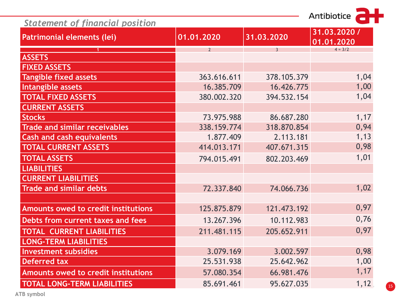| Antibiotice |  |
|-------------|--|
|             |  |

| <b>Statement of financial position</b> |                |                |                            |  |
|----------------------------------------|----------------|----------------|----------------------------|--|
| Patrimonial elements (lei)             | 01.01.2020     | 31.03.2020     | 31.03.2020 /<br>01.01.2020 |  |
|                                        | $\overline{2}$ | $\overline{3}$ | $4 = 3/2$                  |  |
| <b>ASSETS</b>                          |                |                |                            |  |
| <b>FIXED ASSETS</b>                    |                |                |                            |  |
| <b>Tangible fixed assets</b>           | 363.616.611    | 378.105.379    | 1,04                       |  |
| Intangible assets                      | 16.385.709     | 16.426.775     | 1,00                       |  |
| <b>TOTAL FIXED ASSETS</b>              | 380.002.320    | 394.532.154    | 1,04                       |  |
| <b>CURRENT ASSETS</b>                  |                |                |                            |  |
| <b>Stocks</b>                          | 73.975.988     | 86.687.280     | 1,17                       |  |
| <b>Trade and similar receivables</b>   | 338.159.774    | 318.870.854    | 0,94                       |  |
| <b>Cash and cash equivalents</b>       | 1.877.409      | 2.113.181      | 1,13                       |  |
| <b>TOTAL CURRENT ASSETS</b>            | 414.013.171    | 407.671.315    | 0,98                       |  |
| <b>TOTAL ASSETS</b>                    | 794.015.491    | 802.203.469    | 1,01                       |  |
| <b>LIABILITIES</b>                     |                |                |                            |  |
| <b>CURRENT LIABILITIES</b>             |                |                |                            |  |
| <b>Trade and similar debts</b>         | 72.337.840     | 74.066.736     | 1,02                       |  |
|                                        |                |                |                            |  |
| Amounts owed to credit institutions    | 125.875.879    | 121.473.192    | 0,97                       |  |
| Debts from current taxes and fees      | 13.267.396     | 10.112.983     | 0,76                       |  |
| <b>TOTAL CURRENT LIABILITIES</b>       | 211.481.115    | 205.652.911    | 0,97                       |  |
| <b>LONG-TERM LIABILITIES</b>           |                |                |                            |  |
| <b>Investment subsidies</b>            | 3.079.169      | 3.002.597      | 0,98                       |  |
| <b>Deferred tax</b>                    | 25.531.938     | 25.642.962     | 1,00                       |  |
| Amounts owed to credit institutions    | 57.080.354     | 66.981.476     | 1,17                       |  |
| <b>TOTAL LONG-TERM LIABILITIES</b>     | 85.691.461     | 95.627.035     | 1,12                       |  |
|                                        |                |                |                            |  |

**ATB symbol**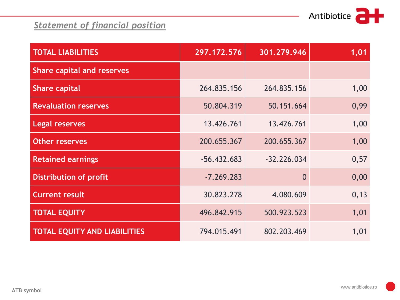# *Statement of financial position*

| <b>TOTAL LIABILITIES</b>            | 297.172.576   | 301.279.946   | 1,01  |
|-------------------------------------|---------------|---------------|-------|
| <b>Share capital and reserves</b>   |               |               |       |
| <b>Share capital</b>                | 264.835.156   | 264.835.156   | 1,00  |
| <b>Revaluation reserves</b>         | 50.804.319    | 50.151.664    | 0,99  |
| <b>Legal reserves</b>               | 13.426.761    | 13.426.761    | 1,00  |
| <b>Other reserves</b>               | 200.655.367   | 200.655.367   | 1,00  |
| <b>Retained earnings</b>            | $-56.432.683$ | $-32.226.034$ | 0,57  |
| <b>Distribution of profit</b>       | $-7.269.283$  | $\bf{0}$      | 0,00  |
| <b>Current result</b>               | 30.823.278    | 4.080.609     | 0, 13 |
| <b>TOTAL EQUITY</b>                 | 496.842.915   | 500.923.523   | 1,01  |
| <b>TOTAL EQUITY AND LIABILITIES</b> | 794.015.491   | 802.203.469   | 1,01  |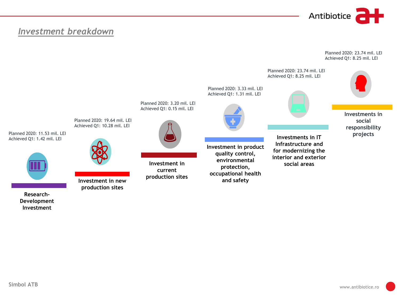

Planned 2020: 23.74 mil. LEI

#### Write it here *Investment breakdown*



**Investment**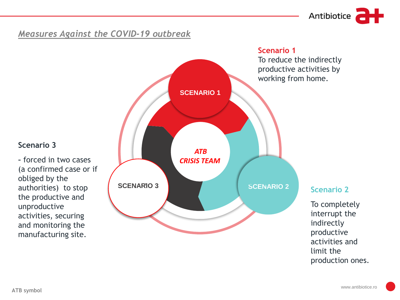Antibiotice

# <u>Measures Against the COVID-19 outbreak</u>

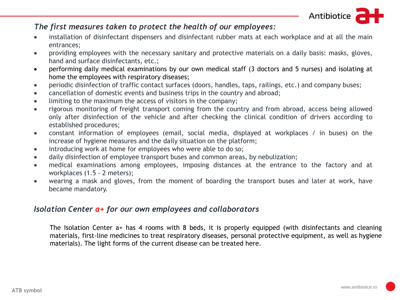Antibiotice

#### *The first measures taken to protect the health of our employees:*

- Write it here installation of disinfectant dispensers and disinfectant rubber mats at each workplace and at all the main entrances;
	- providing employees with the necessary sanitary and protective materials on a daily basis: masks, gloves, hand and surface disinfectants, etc.;
	- performing daily medical examinations by our own medical staff (3 doctors and 5 nurses) and isolating at home the employees with respiratory diseases;
	- periodic disinfection of traffic contact surfaces (doors, handles, taps, railings, etc.) and company buses;
	- cancellation of domestic events and business trips in the country and abroad;
	- limiting to the maximum the access of visitors in the company;
	- rigorous monitoring of freight transport coming from the country and from abroad, access being allowed only after disinfection of the vehicle and after checking the clinical condition of drivers according to established procedures;
	- constant information of employees (email, social media, displayed at workplaces / in buses) on the increase of hygiene measures and the daily situation on the platform;
	- introducing work at home for employees who were able to do so;
	- daily disinfection of employee transport buses and common areas, by nebulization;
	- medical examinations among employees, imposing distances at the entrance to the factory and at workplaces (1.5 - 2 meters);
	- wearing a mask and gloves, from the moment of boarding the transport buses and later at work, have became mandatory.

#### *Isolation Center a+ for our own employees and collaborators*

The Isolation Center a+ has 4 rooms with 8 beds, it is properly equipped (with disinfectants and cleaning materials, first-line medicines to treat respiratory diseases, personal protective equipment, as well as hygiene materials). The light forms of the current disease can be treated here.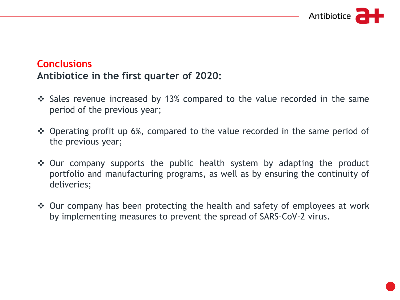

# **Conclusions Antibiotice in the first quarter of 2020:**

- ❖ Sales revenue increased by 13% compared to the value recorded in the same period of the previous year;
- ❖ Operating profit up 6%, compared to the value recorded in the same period of the previous year;
- ❖ Our company supports the public health system by adapting the product portfolio and manufacturing programs, as well as by ensuring the continuity of deliveries;
- ❖ Our company has been protecting the health and safety of employees at work by implementing measures to prevent the spread of SARS-CoV-2 virus.